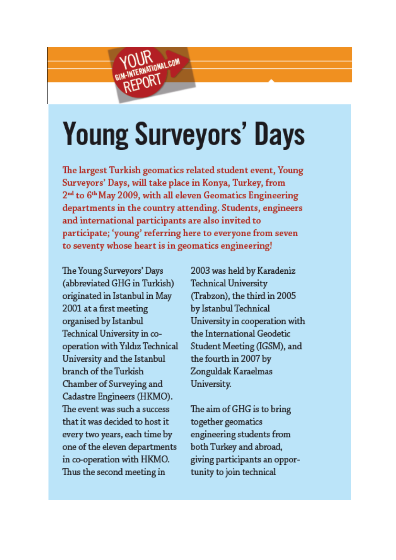## **Young Surveyors' Days**

**IK CONAL COM** 

REPORT

The largest Turkish geomatics related student event, Young Surveyors' Days, will take place in Konya, Turkey, from  $2<sup>nd</sup>$  to  $6<sup>th</sup>$  May 2009, with all eleven Geomatics Engineering departments in the country attending. Students, engineers and international participants are also invited to participate; 'young' referring here to everyone from seven to seventy whose heart is in geomatics engineering!

The Young Surveyors' Days (abbreviated GHG in Turkish) originated in Istanbul in May 2001 ata first meeting organised by Istanbul Technical University in cooperation with Yıldız Technical University and the Istanbul branch of the Turkish Chamber of Surveying and Cadastre Engineers (HKMO). The event was such a success that it was decided to host it every two years, each time by one of the eleven departments in co-operation with HKMO. Thus the second meeting in

2003 was held by Karadeniz Technical University (frabzon), the third in 2005 by Istanbul Technical University in cooperation with the lntemational Geodetic Student Meeting (IGSM), and the fourth in 2007 by Zonguldak Karaelmas University.

The aim of GHG is to bring together geomatics engineering students from both Tuıkey and abroad, giving participants an opportunity to join technical